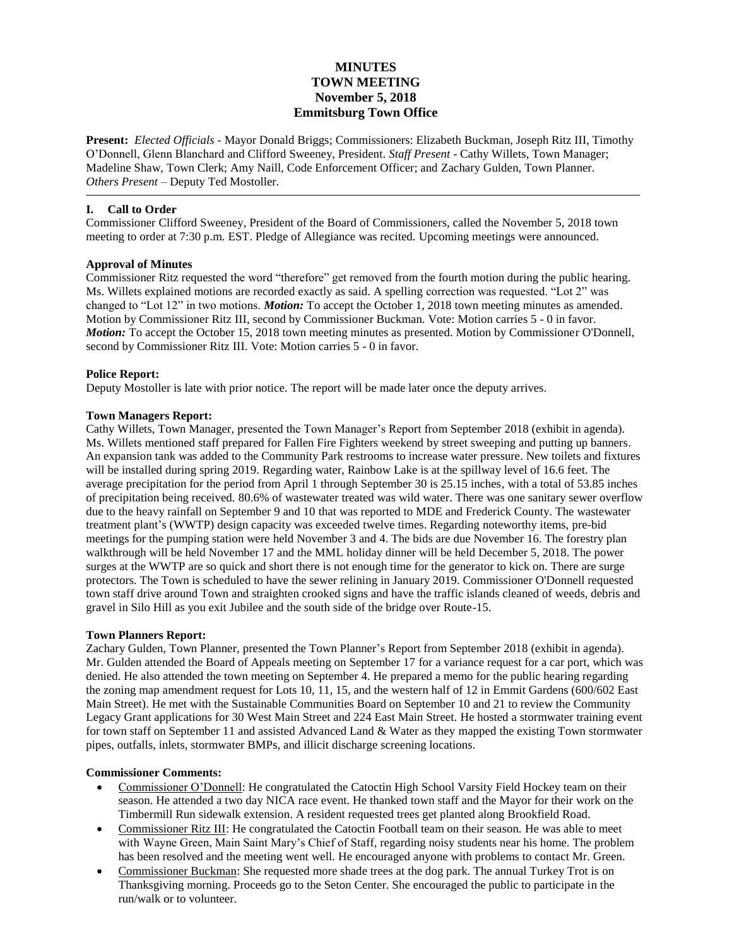# **MINUTES TOWN MEETING November 5, 2018 Emmitsburg Town Office**

**Present:** *Elected Officials* - Mayor Donald Briggs; Commissioners: Elizabeth Buckman, Joseph Ritz III, Timothy O'Donnell, Glenn Blanchard and Clifford Sweeney, President. *Staff Present* - Cathy Willets, Town Manager; Madeline Shaw, Town Clerk; Amy Naill, Code Enforcement Officer; and Zachary Gulden, Town Planner. *Others Present* – Deputy Ted Mostoller.

# **I. Call to Order**

Commissioner Clifford Sweeney, President of the Board of Commissioners, called the November 5, 2018 town meeting to order at 7:30 p.m. EST. Pledge of Allegiance was recited. Upcoming meetings were announced.

# **Approval of Minutes**

Commissioner Ritz requested the word "therefore" get removed from the fourth motion during the public hearing. Ms. Willets explained motions are recorded exactly as said. A spelling correction was requested. "Lot 2" was changed to "Lot 12" in two motions. *Motion:* To accept the October 1, 2018 town meeting minutes as amended. Motion by Commissioner Ritz III, second by Commissioner Buckman. Vote: Motion carries 5 - 0 in favor. *Motion:* To accept the October 15, 2018 town meeting minutes as presented. Motion by Commissioner O'Donnell, second by Commissioner Ritz III. Vote: Motion carries 5 - 0 in favor.

# **Police Report:**

Deputy Mostoller is late with prior notice. The report will be made later once the deputy arrives.

# **Town Managers Report:**

Cathy Willets, Town Manager, presented the Town Manager's Report from September 2018 (exhibit in agenda). Ms. Willets mentioned staff prepared for Fallen Fire Fighters weekend by street sweeping and putting up banners. An expansion tank was added to the Community Park restrooms to increase water pressure. New toilets and fixtures will be installed during spring 2019. Regarding water, Rainbow Lake is at the spillway level of 16.6 feet. The average precipitation for the period from April 1 through September 30 is 25.15 inches, with a total of 53.85 inches of precipitation being received. 80.6% of wastewater treated was wild water. There was one sanitary sewer overflow due to the heavy rainfall on September 9 and 10 that was reported to MDE and Frederick County. The wastewater treatment plant's (WWTP) design capacity was exceeded twelve times. Regarding noteworthy items, pre-bid meetings for the pumping station were held November 3 and 4. The bids are due November 16. The forestry plan walkthrough will be held November 17 and the MML holiday dinner will be held December 5, 2018. The power surges at the WWTP are so quick and short there is not enough time for the generator to kick on. There are surge protectors. The Town is scheduled to have the sewer relining in January 2019. Commissioner O'Donnell requested town staff drive around Town and straighten crooked signs and have the traffic islands cleaned of weeds, debris and gravel in Silo Hill as you exit Jubilee and the south side of the bridge over Route-15.

# **Town Planners Report:**

Zachary Gulden, Town Planner, presented the Town Planner's Report from September 2018 (exhibit in agenda). Mr. Gulden attended the Board of Appeals meeting on September 17 for a variance request for a car port, which was denied. He also attended the town meeting on September 4. He prepared a memo for the public hearing regarding the zoning map amendment request for Lots 10, 11, 15, and the western half of 12 in Emmit Gardens (600/602 East Main Street). He met with the Sustainable Communities Board on September 10 and 21 to review the Community Legacy Grant applications for 30 West Main Street and 224 East Main Street. He hosted a stormwater training event for town staff on September 11 and assisted Advanced Land & Water as they mapped the existing Town stormwater pipes, outfalls, inlets, stormwater BMPs, and illicit discharge screening locations.

# **Commissioner Comments:**

- Commissioner O'Donnell: He congratulated the Catoctin High School Varsity Field Hockey team on their season. He attended a two day NICA race event. He thanked town staff and the Mayor for their work on the Timbermill Run sidewalk extension. A resident requested trees get planted along Brookfield Road.
- Commissioner Ritz III: He congratulated the Catoctin Football team on their season. He was able to meet with Wayne Green, Main Saint Mary's Chief of Staff, regarding noisy students near his home. The problem has been resolved and the meeting went well. He encouraged anyone with problems to contact Mr. Green.
- Commissioner Buckman: She requested more shade trees at the dog park. The annual Turkey Trot is on Thanksgiving morning. Proceeds go to the Seton Center. She encouraged the public to participate in the run/walk or to volunteer.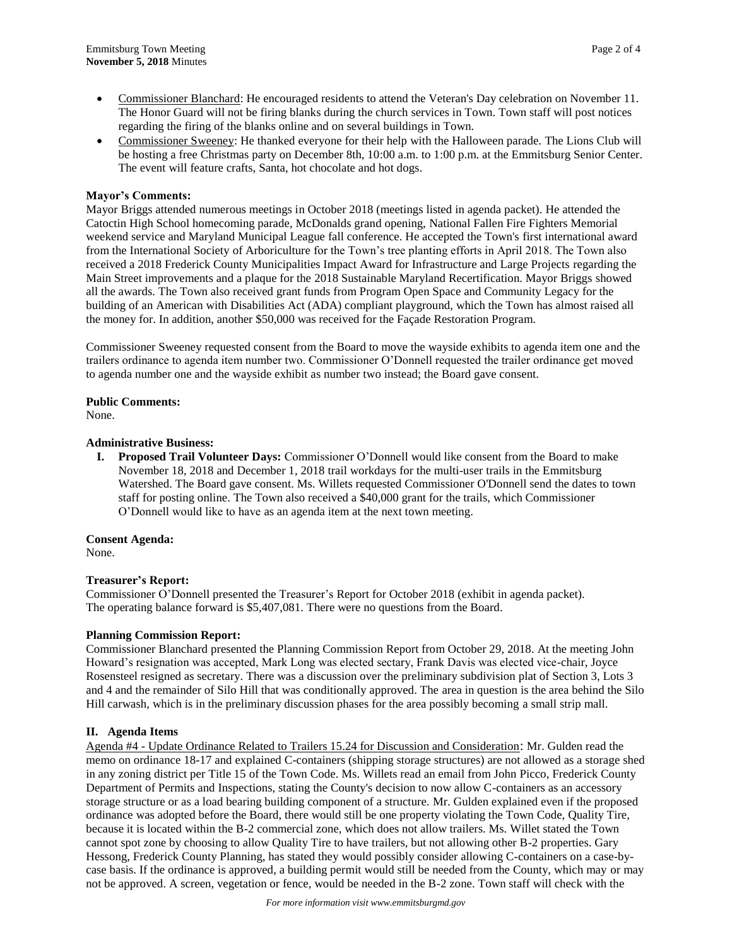- Commissioner Blanchard: He encouraged residents to attend the Veteran's Day celebration on November 11. The Honor Guard will not be firing blanks during the church services in Town. Town staff will post notices regarding the firing of the blanks online and on several buildings in Town.
- Commissioner Sweeney: He thanked everyone for their help with the Halloween parade. The Lions Club will be hosting a free Christmas party on December 8th, 10:00 a.m. to 1:00 p.m. at the Emmitsburg Senior Center. The event will feature crafts, Santa, hot chocolate and hot dogs.

# **Mayor's Comments:**

Mayor Briggs attended numerous meetings in October 2018 (meetings listed in agenda packet). He attended the Catoctin High School homecoming parade, McDonalds grand opening, National Fallen Fire Fighters Memorial weekend service and Maryland Municipal League fall conference. He accepted the Town's first international award from the International Society of Arboriculture for the Town's tree planting efforts in April 2018. The Town also received a 2018 Frederick County Municipalities Impact Award for Infrastructure and Large Projects regarding the Main Street improvements and a plaque for the 2018 Sustainable Maryland Recertification. Mayor Briggs showed all the awards. The Town also received grant funds from Program Open Space and Community Legacy for the building of an American with Disabilities Act (ADA) compliant playground, which the Town has almost raised all the money for. In addition, another \$50,000 was received for the Façade Restoration Program.

Commissioner Sweeney requested consent from the Board to move the wayside exhibits to agenda item one and the trailers ordinance to agenda item number two. Commissioner O'Donnell requested the trailer ordinance get moved to agenda number one and the wayside exhibit as number two instead; the Board gave consent.

# **Public Comments:**

None.

# **Administrative Business:**

**I. Proposed Trail Volunteer Days:** Commissioner O'Donnell would like consent from the Board to make November 18, 2018 and December 1, 2018 trail workdays for the multi-user trails in the Emmitsburg Watershed. The Board gave consent. Ms. Willets requested Commissioner O'Donnell send the dates to town staff for posting online. The Town also received a \$40,000 grant for the trails, which Commissioner O'Donnell would like to have as an agenda item at the next town meeting.

# **Consent Agenda:**

None.

# **Treasurer's Report:**

Commissioner O'Donnell presented the Treasurer's Report for October 2018 (exhibit in agenda packet). The operating balance forward is \$5,407,081. There were no questions from the Board.

# **Planning Commission Report:**

Commissioner Blanchard presented the Planning Commission Report from October 29, 2018. At the meeting John Howard's resignation was accepted, Mark Long was elected sectary, Frank Davis was elected vice-chair, Joyce Rosensteel resigned as secretary. There was a discussion over the preliminary subdivision plat of Section 3, Lots 3 and 4 and the remainder of Silo Hill that was conditionally approved. The area in question is the area behind the Silo Hill carwash, which is in the preliminary discussion phases for the area possibly becoming a small strip mall.

# **II. Agenda Items**

Agenda #4 - Update Ordinance Related to Trailers 15.24 for Discussion and Consideration: Mr. Gulden read the memo on ordinance 18-17 and explained C-containers (shipping storage structures) are not allowed as a storage shed in any zoning district per Title 15 of the Town Code. Ms. Willets read an email from John Picco, Frederick County Department of Permits and Inspections, stating the County's decision to now allow C-containers as an accessory storage structure or as a load bearing building component of a structure. Mr. Gulden explained even if the proposed ordinance was adopted before the Board, there would still be one property violating the Town Code, Quality Tire, because it is located within the B-2 commercial zone, which does not allow trailers. Ms. Willet stated the Town cannot spot zone by choosing to allow Quality Tire to have trailers, but not allowing other B-2 properties. Gary Hessong, Frederick County Planning, has stated they would possibly consider allowing C-containers on a case-bycase basis. If the ordinance is approved, a building permit would still be needed from the County, which may or may not be approved. A screen, vegetation or fence, would be needed in the B-2 zone. Town staff will check with the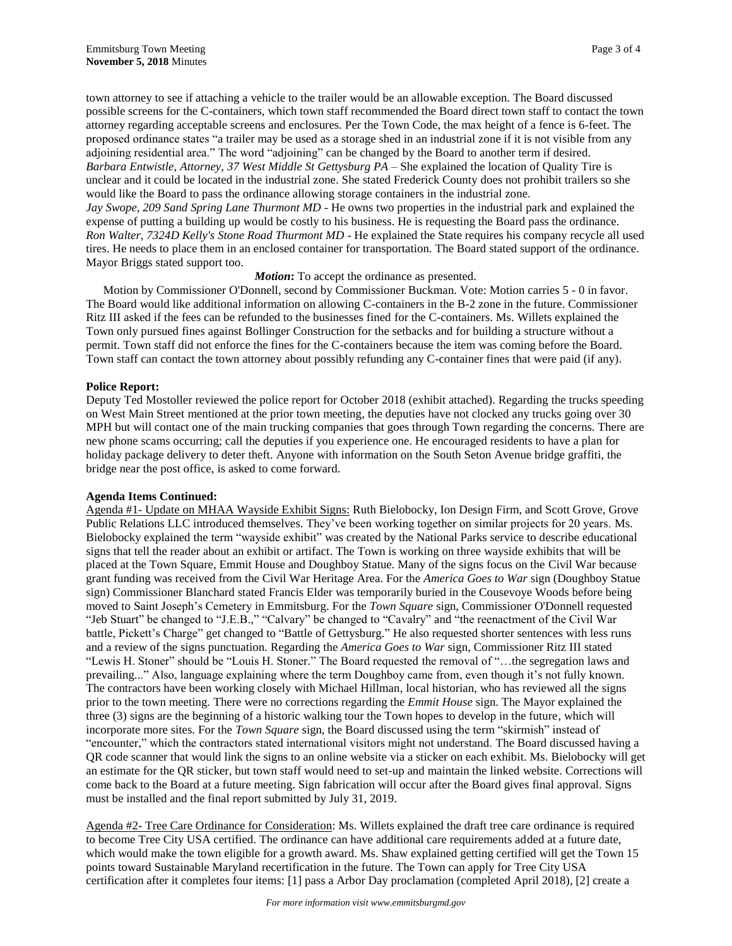town attorney to see if attaching a vehicle to the trailer would be an allowable exception. The Board discussed possible screens for the C-containers, which town staff recommended the Board direct town staff to contact the town attorney regarding acceptable screens and enclosures. Per the Town Code, the max height of a fence is 6-feet. The proposed ordinance states "a trailer may be used as a storage shed in an industrial zone if it is not visible from any adjoining residential area." The word "adjoining" can be changed by the Board to another term if desired. *Barbara Entwistle, Attorney, 37 West Middle St Gettysburg PA* – She explained the location of Quality Tire is unclear and it could be located in the industrial zone. She stated Frederick County does not prohibit trailers so she would like the Board to pass the ordinance allowing storage containers in the industrial zone. *Jay Swope, 209 Sand Spring Lane Thurmont MD* - He owns two properties in the industrial park and explained the expense of putting a building up would be costly to his business. He is requesting the Board pass the ordinance. *Ron Walter, 7324D Kelly's Stone Road Thurmont MD* - He explained the State requires his company recycle all used tires. He needs to place them in an enclosed container for transportation. The Board stated support of the ordinance. Mayor Briggs stated support too.

# *Motion***:** To accept the ordinance as presented.

Motion by Commissioner O'Donnell, second by Commissioner Buckman. Vote: Motion carries 5 - 0 in favor. The Board would like additional information on allowing C-containers in the B-2 zone in the future. Commissioner Ritz III asked if the fees can be refunded to the businesses fined for the C-containers. Ms. Willets explained the Town only pursued fines against Bollinger Construction for the setbacks and for building a structure without a permit. Town staff did not enforce the fines for the C-containers because the item was coming before the Board. Town staff can contact the town attorney about possibly refunding any C-container fines that were paid (if any).

#### **Police Report:**

Deputy Ted Mostoller reviewed the police report for October 2018 (exhibit attached). Regarding the trucks speeding on West Main Street mentioned at the prior town meeting, the deputies have not clocked any trucks going over 30 MPH but will contact one of the main trucking companies that goes through Town regarding the concerns. There are new phone scams occurring; call the deputies if you experience one. He encouraged residents to have a plan for holiday package delivery to deter theft. Anyone with information on the South Seton Avenue bridge graffiti, the bridge near the post office, is asked to come forward.

#### **Agenda Items Continued:**

Agenda #1- Update on MHAA Wayside Exhibit Signs: Ruth Bielobocky, Ion Design Firm, and Scott Grove, Grove Public Relations LLC introduced themselves. They've been working together on similar projects for 20 years. Ms. Bielobocky explained the term "wayside exhibit" was created by the National Parks service to describe educational signs that tell the reader about an exhibit or artifact. The Town is working on three wayside exhibits that will be placed at the Town Square, Emmit House and Doughboy Statue. Many of the signs focus on the Civil War because grant funding was received from the Civil War Heritage Area. For the *America Goes to War* sign (Doughboy Statue sign) Commissioner Blanchard stated Francis Elder was temporarily buried in the Cousevoye Woods before being moved to Saint Joseph's Cemetery in Emmitsburg. For the *Town Square* sign, Commissioner O'Donnell requested "Jeb Stuart" be changed to "J.E.B.," "Calvary" be changed to "Cavalry" and "the reenactment of the Civil War battle, Pickett's Charge" get changed to "Battle of Gettysburg." He also requested shorter sentences with less runs and a review of the signs punctuation. Regarding the *America Goes to War* sign, Commissioner Ritz III stated "Lewis H. Stoner" should be "Louis H. Stoner." The Board requested the removal of "…the segregation laws and prevailing..." Also, language explaining where the term Doughboy came from, even though it's not fully known. The contractors have been working closely with Michael Hillman, local historian, who has reviewed all the signs prior to the town meeting. There were no corrections regarding the *Emmit House* sign. The Mayor explained the three (3) signs are the beginning of a historic walking tour the Town hopes to develop in the future, which will incorporate more sites. For the *Town Square* sign, the Board discussed using the term "skirmish" instead of "encounter," which the contractors stated international visitors might not understand. The Board discussed having a QR code scanner that would link the signs to an online website via a sticker on each exhibit. Ms. Bielobocky will get an estimate for the QR sticker, but town staff would need to set-up and maintain the linked website. Corrections will come back to the Board at a future meeting. Sign fabrication will occur after the Board gives final approval. Signs must be installed and the final report submitted by July 31, 2019.

Agenda #2- Tree Care Ordinance for Consideration: Ms. Willets explained the draft tree care ordinance is required to become Tree City USA certified. The ordinance can have additional care requirements added at a future date, which would make the town eligible for a growth award. Ms. Shaw explained getting certified will get the Town 15 points toward Sustainable Maryland recertification in the future. The Town can apply for Tree City USA certification after it completes four items: [1] pass a Arbor Day proclamation (completed April 2018), [2] create a